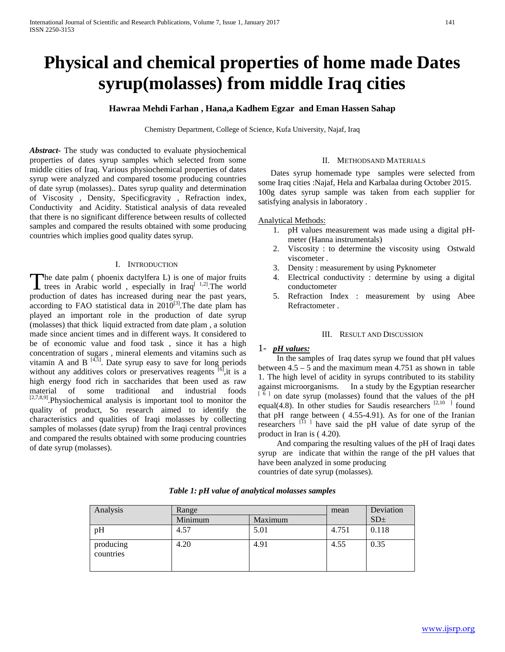# **Physical and chemical properties of home made Dates syrup(molasses) from middle Iraq cities**

## **Hawraa Mehdi Farhan , Hana,a Kadhem Egzar and Eman Hassen Sahap**

Chemistry Department, College of Science, Kufa University, Najaf, Iraq

*Abstract***-** The study was conducted to evaluate physiochemical properties of dates syrup samples which selected from some middle cities of Iraq. Various physiochemical properties of dates syrup were analyzed and compared tosome producing countries of date syrup (molasses).. Dates syrup quality and determination of Viscosity , Density, Specificgravity , Refraction index, Conductivity and Acidity. Statistical analysis of data revealed that there is no significant difference between results of collected samples and compared the results obtained with some producing countries which implies good quality dates syrup.

## I. INTRODUCTION

The date palm ( phoenix dactylfera L) is one of major fruits The date palm (phoenix dactylfera L) is one of major fruits<br>
trees in Arabic world, especially in Iraq<sup>[ 1,2]</sup>. The world production of dates has increased during near the past years, according to FAO statistical data in 2010<sup>[3]</sup>. The date plam has played an important role in the production of date syrup (molasses) that thick liquid extracted from date plam , a solution made since ancient times and in different ways. It considered to be of economic value and food task , since it has a high concentration of sugars , mineral elements and vitamins such as vitamin A and B  $[4,5]$ . Date syrup easy to save for long periods without any additives colors or preservatives reagents <sup>[6]</sup>, it is a high energy food rich in saccharides that been used as raw material of some traditional and industrial foods <sup>[2,7,8,9]</sup>. Physiochemical analysis is important tool to monitor the quality of product, So research aimed to identify the characteristics and qualities of Iraqi molasses by collecting samples of molasses (date syrup) from the Iraqi central provinces and compared the results obtained with some producing countries of date syrup (molasses).

### II. METHODSAND MATERIALS

 Dates syrup homemade type samples were selected from some Iraq cities :Najaf, Hela and Karbalaa during October 2015. 100g dates syrup sample was taken from each supplier for satisfying analysis in laboratory .

#### Analytical Methods:

- 1. pH values measurement was made using a digital pHmeter (Hanna instrumentals)
- 2. Viscosity : to determine the viscosity using Ostwald viscometer .
- 3. Density : measurement by using Pyknometer
- 4. Electrical conductivity : determine by using a digital conductometer
- 5. Refraction Index : measurement by using Abee Refractometer .

### III. RESULT AND DISCUSSION

## 1- *pH* values:

 In the samples of Iraq dates syrup we found that pH values between 4.5 – 5 and the maximum mean 4.751 as shown in table 1. The high level of acidity in syrups contributed to its stability against microorganisms. In a study by the Egyptian researcher <sup>[  $\delta$  ]</sup> on date syrup (molasses) found that the values of the pH equal(4.8). In other studies for Saudis researchers <sup>[2,10</sup> ] found that pH range between ( 4.55-4.91). As for one of the Iranian researchers  $[11]$  have said the pH value of date syrup of the product in Iran is ( 4.20).

 And comparing the resulting values of the pH of Iraqi dates syrup are indicate that within the range of the pH values that have been analyzed in some producing countries of date syrup (molasses).

| Analysis               | Range   |         | mean  | Deviation       |
|------------------------|---------|---------|-------|-----------------|
|                        | Minimum | Maximum |       | SD <sub>±</sub> |
| pH                     | 4.57    | 5.01    | 4.751 | 0.118           |
| producing<br>countries | 4.20    | 4.91    | 4.55  | 0.35            |

*Table 1: pH value of analytical molasses samples*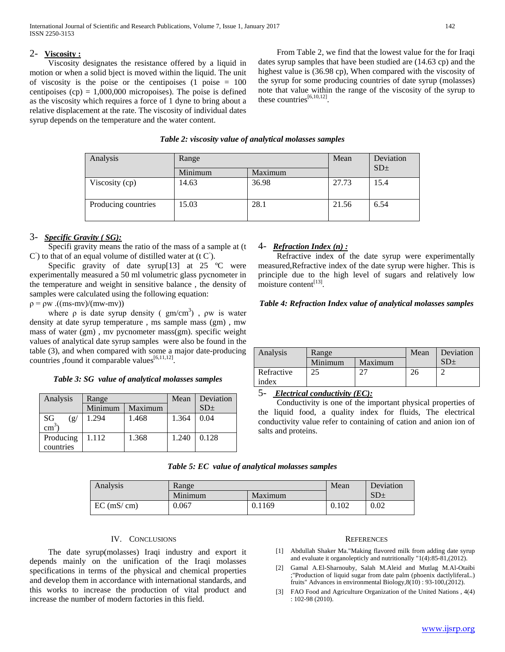# 2- **Viscosity :**

 Viscosity designates the resistance offered by a liquid in motion or when a solid bject is moved within the liquid. The unit of viscosity is the poise or the centipoises  $(1 \text{ noise} = 100$ centipoises  $(cp) = 1,000,000$  micropoises). The poise is defined as the viscosity which requires a force of 1 dyne to bring about a relative displacement at the rate. The viscosity of individual dates syrup depends on the temperature and the water content.

 From Table 2, we find that the lowest value for the for Iraqi dates syrup samples that have been studied are (14.63 cp) and the highest value is (36.98 cp), When compared with the viscosity of the syrup for some producing countries of date syrup (molasses) note that value within the range of the viscosity of the syrup to these countries $^{[6,10,12]}$ .

| Analysis            | Range   |         | Mean  | Deviation       |  |
|---------------------|---------|---------|-------|-----------------|--|
|                     | Minimum | Maximum |       | SD <sub>±</sub> |  |
| Viscosity (cp)      | 14.63   | 36.98   | 27.73 | 15.4            |  |
| Producing countries | 15.03   | 28.1    | 21.56 | 6.54            |  |

## *Table 2: viscosity value of analytical molasses samples*

# 3- *Specific Gravity ( SG):*

 Specifi gravity means the ratio of the mass of a sample at (t  $\mathcal{C}^{\circ}$ ) to that of an equal volume of distilled water at (t  $\mathcal{C}^{\circ}$ ).

Specific gravity of date syrup[13] at 25 °C were experimentally measured a 50 ml volumetric glass pycnometer in the temperature and weight in sensitive balance , the density of samples were calculated using the following equation:

 $p = \rho w$  .((ms-mv)/(mw-mv))

where  $\rho$  is date syrup density ( $gm/cm<sup>3</sup>$ ),  $\rho w$  is water density at date syrup temperature , ms sample mass (gm) , mw mass of water (gm) , mv pycnometer mass(gm). specific weight values of analytical date syrup samples were also be found in the table (3), and when compared with some a major date-producing countries , found it comparable values<sup>[6,11,12]</sup>.

| Table 3: SG value of analytical molasses samples |  |  |  |  |
|--------------------------------------------------|--|--|--|--|
|--------------------------------------------------|--|--|--|--|

| Analysis                     | Range   |         | Mean  | Deviation       |
|------------------------------|---------|---------|-------|-----------------|
|                              | Minimum | Maximum |       | SD <sub>±</sub> |
| SG<br>(g/<br>$\text{cm}^{3}$ | 1.294   | 1.468   | 1.364 | 0.04            |
| Producing<br>countries       | 1.112   | 1.368   | 1.240 | 0.128           |

| 4- Refraction Index (n) : |  |  |
|---------------------------|--|--|
|                           |  |  |

 Refractive index of the date syrup were experimentally measured,Refractive index of the date syrup were higher. This is principle due to the high level of sugars and relatively low moisture content<sup>[13]</sup>.

## *Table 4: Refraction Index value of analytical molasses samples*

| Analysis   | Range   |         | Mean | Deviation |
|------------|---------|---------|------|-----------|
|            | Minimum | Maximum |      |           |
| Refractive | 25      |         |      |           |
| index      |         |         |      |           |

5- *<sup>U</sup> Electrical conductivity (EC):*

 Conductivity is one of the important physical properties of the liquid food, a quality index for fluids, The electrical conductivity value refer to containing of cation and anion ion of salts and proteins.

| Analysis     | Range   |         | Mean  | Deviation       |
|--------------|---------|---------|-------|-----------------|
|              | Minimum | Maximum |       | SD <sub>±</sub> |
| $EC$ (mS/cm) | 0.067   | 0.1169  | 0.102 | 0.02            |

# IV. CONCLUSIONS

 The date syrup(molasses) Iraqi industry and export it depends mainly on the unification of the Iraqi molasses specifications in terms of the physical and chemical properties and develop them in accordance with international standards, and this works to increase the production of vital product and increase the number of modern factories in this field.

## **REFERENCES**

- [1] Abdullah Shaker Ma."Making flavored milk from adding date syrup and evaluate it organolepticly and nutritionally "1(4):85-81,(2012).
- [2] Gamal A.El-Sharnouby, Salah M.Aleid and Mutlag M.Al-Otaibi ;"Production of liquid sugar from date palm (phoenix dactlyliferaL.) fruits" Advances in environmental Biology,8(10) : 93-100,(2012).
- [3] FAO Food and Agriculture Organization of the United Nations , 4(4) : 102-98 (2010).